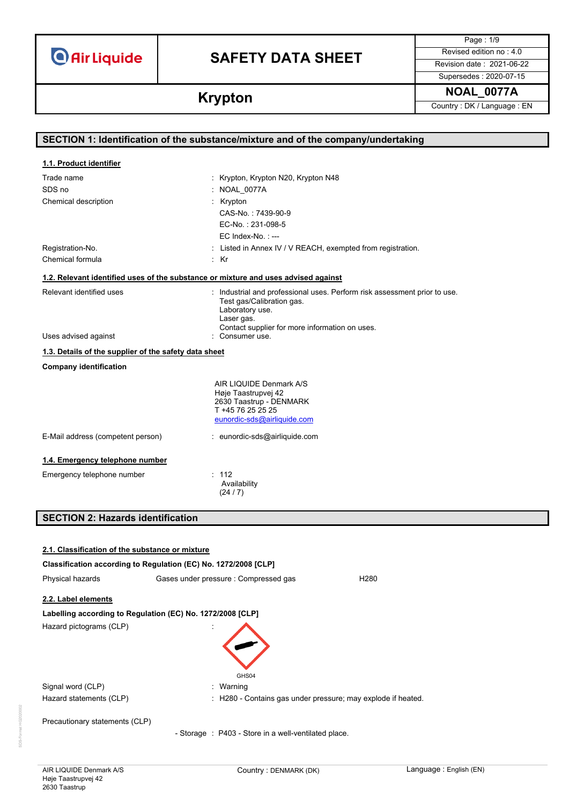**Air Liquide** 

# **SAFETY DATA SHEET** Revised edition no : 4.0

Page : 1/9

Supersedes : 2020-07-15

# **Krypton NOAL\_0077A Krypton** Country: DK/Language : EN

|                                                       | SECTION 1: Identification of the substance/mixture and of the company/undertaking  |
|-------------------------------------------------------|------------------------------------------------------------------------------------|
| 1.1. Product identifier                               |                                                                                    |
| Trade name                                            | : Krypton, Krypton N20, Krypton N48                                                |
| SDS no                                                | : NOAL_0077A                                                                       |
| Chemical description                                  | : Krypton                                                                          |
|                                                       | CAS-No.: 7439-90-9                                                                 |
|                                                       | EC-No.: 231-098-5                                                                  |
|                                                       | $EC$ Index-No.: $---$                                                              |
| Registration-No.                                      | : Listed in Annex IV / V REACH, exempted from registration.                        |
| Chemical formula                                      | : Kr                                                                               |
|                                                       | 1.2. Relevant identified uses of the substance or mixture and uses advised against |
| Relevant identified uses                              | : Industrial and professional uses. Perform risk assessment prior to use.          |
|                                                       | Test gas/Calibration gas.                                                          |
|                                                       | Laboratory use.<br>Laser gas.                                                      |
|                                                       | Contact supplier for more information on uses.                                     |
| Uses advised against                                  | : Consumer use.                                                                    |
| 1.3. Details of the supplier of the safety data sheet |                                                                                    |
| <b>Company identification</b>                         |                                                                                    |
|                                                       | AIR LIQUIDE Denmark A/S                                                            |
|                                                       | Høje Taastrupvej 42                                                                |
|                                                       | 2630 Taastrup - DENMARK<br>T +45 76 25 25 25                                       |
|                                                       | eunordic-sds@airliquide.com                                                        |
| E-Mail address (competent person)                     | : eunordic-sds@airliquide.com                                                      |
| 1.4. Emergency telephone number                       |                                                                                    |
| Emergency telephone number                            | : 112                                                                              |
|                                                       | Availability                                                                       |
|                                                       | (24/7)                                                                             |
| <b>SECTION 2: Hazards identification</b>              |                                                                                    |
|                                                       |                                                                                    |
| 2.1. Classification of the substance or mixture       |                                                                                    |
|                                                       | Classification according to Regulation (EC) No. 1272/2008 [CLP]                    |
| Physical hazards                                      | Gases under pressure : Compressed gas<br>H <sub>280</sub>                          |
| 2.2. Label elements                                   |                                                                                    |
|                                                       | Labelling according to Regulation (EC) No. 1272/2008 [CLP]                         |
| Hazard pictograms (CLP)                               |                                                                                    |
|                                                       |                                                                                    |
|                                                       |                                                                                    |
|                                                       |                                                                                    |

Precautionary statements (CLP)

Signal word (CLP)  $\qquad \qquad$ : Warning

- Storage : P403 - Store in a well-ventilated place.

GHS04

Hazard statements (CLP) : H280 - Contains gas under pressure; may explode if heated.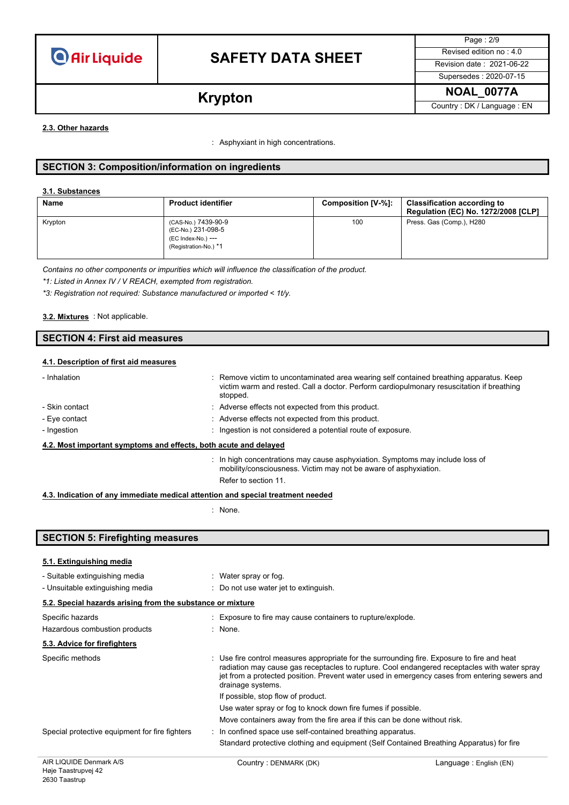

Page : 2/9 Supersedes : 2020-07-15

**Krypton NOAL\_0077A Krypton** Country: DK/Language : EN

### **2.3. Other hazards**

: Asphyxiant in high concentrations.

# **SECTION 3: Composition/information on ingredients**

### **3.1. Substances**

| Name    | <b>Product identifier</b>                                                                | Composition [V-%]: | <b>Classification according to</b><br><b>Regulation (EC) No. 1272/2008 [CLP]</b> |
|---------|------------------------------------------------------------------------------------------|--------------------|----------------------------------------------------------------------------------|
| Krypton | (CAS-No.) 7439-90-9<br>(EC-No.) 231-098-5<br>(EC Index-No.) ---<br>(Registration-No.) *1 | 100                | Press. Gas (Comp.), H280                                                         |

*Contains no other components or impurities which will influence the classification of the product.*

*\*1: Listed in Annex IV / V REACH, exempted from registration.*

*\*3: Registration not required: Substance manufactured or imported < 1t/y.*

### : Not applicable. **3.2. Mixtures**

# **SECTION 4: First aid measures**

### **4.1. Description of first aid measures**

| - Inhalation                                                     | : Remove victim to uncontaminated area wearing self contained breathing apparatus. Keep<br>victim warm and rested. Call a doctor. Perform cardiopulmonary resuscitation if breathing<br>stopped. |  |
|------------------------------------------------------------------|--------------------------------------------------------------------------------------------------------------------------------------------------------------------------------------------------|--|
| - Skin contact                                                   | : Adverse effects not expected from this product.                                                                                                                                                |  |
| - Eye contact                                                    | : Adverse effects not expected from this product.                                                                                                                                                |  |
| - Ingestion                                                      | : Ingestion is not considered a potential route of exposure.                                                                                                                                     |  |
| 4.2. Most important symptoms and effects, both acute and delayed |                                                                                                                                                                                                  |  |
|                                                                  | $\therefore$ In high concentrations may cause asphyxiation. Symptoms may include loss of<br>mobility/consciousness. Victim may not be aware of asphyxiation.<br>Refer to section 11              |  |

### **4.3. Indication of any immediate medical attention and special treatment needed**

: None.

| <b>SECTION 5: Firefighting measures</b>                            |                                                                                                                                                                                                                                                                                                                   |  |
|--------------------------------------------------------------------|-------------------------------------------------------------------------------------------------------------------------------------------------------------------------------------------------------------------------------------------------------------------------------------------------------------------|--|
| 5.1. Extinguishing media                                           |                                                                                                                                                                                                                                                                                                                   |  |
| - Suitable extinguishing media<br>- Unsuitable extinguishing media | : Water spray or fog.<br>$\therefore$ Do not use water jet to extinguish.                                                                                                                                                                                                                                         |  |
| 5.2. Special hazards arising from the substance or mixture         |                                                                                                                                                                                                                                                                                                                   |  |
| Specific hazards<br>Hazardous combustion products                  | : Exposure to fire may cause containers to rupture/explode.<br>: None.                                                                                                                                                                                                                                            |  |
| 5.3. Advice for firefighters                                       |                                                                                                                                                                                                                                                                                                                   |  |
| Specific methods                                                   | : Use fire control measures appropriate for the surrounding fire. Exposure to fire and heat<br>radiation may cause gas receptacles to rupture. Cool endangered receptacles with water spray<br>jet from a protected position. Prevent water used in emergency cases from entering sewers and<br>drainage systems. |  |
|                                                                    | If possible, stop flow of product.                                                                                                                                                                                                                                                                                |  |
|                                                                    | Use water spray or fog to knock down fire fumes if possible.                                                                                                                                                                                                                                                      |  |
|                                                                    | Move containers away from the fire area if this can be done without risk.                                                                                                                                                                                                                                         |  |
| Special protective equipment for fire fighters                     | : In confined space use self-contained breathing apparatus.                                                                                                                                                                                                                                                       |  |
|                                                                    | Standard protective clothing and equipment (Self Contained Breathing Apparatus) for fire                                                                                                                                                                                                                          |  |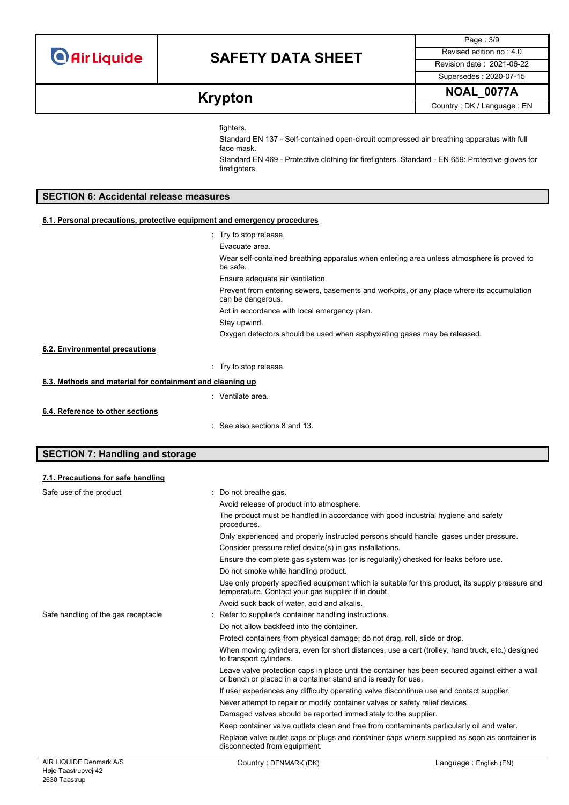**O** Air Liquide

# **SAFETY DATA SHEET** Revised edition no : 4.0

Page : 3/9 Supersedes : 2020-07-15

**Krypton NOAL\_0077A Krypton** Country: DK/Language : EN

fighters.

Standard EN 137 - Self-contained open-circuit compressed air breathing apparatus with full face mask.

Standard EN 469 - Protective clothing for firefighters. Standard - EN 659: Protective gloves for firefighters.

# **SECTION 6: Accidental release measures**

### **6.1. Personal precautions, protective equipment and emergency procedures**

|                                                           | . Try to stop release.                                                                                         |
|-----------------------------------------------------------|----------------------------------------------------------------------------------------------------------------|
|                                                           | Evacuate area.                                                                                                 |
|                                                           | Wear self-contained breathing apparatus when entering area unless atmosphere is proved to<br>be safe.          |
|                                                           | Ensure adequate air ventilation.                                                                               |
|                                                           | Prevent from entering sewers, basements and workpits, or any place where its accumulation<br>can be dangerous. |
|                                                           | Act in accordance with local emergency plan.                                                                   |
|                                                           | Stay upwind.                                                                                                   |
|                                                           | Oxygen detectors should be used when asphyxiating gases may be released.                                       |
| 6.2. Environmental precautions                            |                                                                                                                |
|                                                           | : Try to stop release.                                                                                         |
| 6.3. Methods and material for containment and cleaning up |                                                                                                                |
|                                                           | : Ventilate area.                                                                                              |
| 6.4. Reference to other sections                          |                                                                                                                |

: See also sections 8 and 13.

## **SECTION 7: Handling and storage**

### **7.1. Precautions for safe handling**

| Safe use of the product             | : Do not breathe gas.                                                                                                                                            |
|-------------------------------------|------------------------------------------------------------------------------------------------------------------------------------------------------------------|
|                                     | Avoid release of product into atmosphere.                                                                                                                        |
|                                     | The product must be handled in accordance with good industrial hygiene and safety<br>procedures.                                                                 |
|                                     | Only experienced and properly instructed persons should handle gases under pressure.                                                                             |
|                                     | Consider pressure relief device(s) in gas installations.                                                                                                         |
|                                     | Ensure the complete gas system was (or is regularily) checked for leaks before use.                                                                              |
|                                     | Do not smoke while handling product.                                                                                                                             |
|                                     | Use only properly specified equipment which is suitable for this product, its supply pressure and<br>temperature. Contact your gas supplier if in doubt.         |
|                                     | Avoid suck back of water, acid and alkalis.                                                                                                                      |
| Safe handling of the gas receptacle | : Refer to supplier's container handling instructions.                                                                                                           |
|                                     | Do not allow backfeed into the container.                                                                                                                        |
|                                     | Protect containers from physical damage; do not drag, roll, slide or drop.                                                                                       |
|                                     | When moving cylinders, even for short distances, use a cart (trolley, hand truck, etc.) designed<br>to transport cylinders.                                      |
|                                     | Leave valve protection caps in place until the container has been secured against either a wall<br>or bench or placed in a container stand and is ready for use. |
|                                     | If user experiences any difficulty operating valve discontinue use and contact supplier.                                                                         |
|                                     | Never attempt to repair or modify container valves or safety relief devices.                                                                                     |
|                                     | Damaged valves should be reported immediately to the supplier.                                                                                                   |
|                                     | Keep container valve outlets clean and free from contaminants particularly oil and water.                                                                        |
|                                     | Replace valve outlet caps or plugs and container caps where supplied as soon as container is<br>disconnected from equipment.                                     |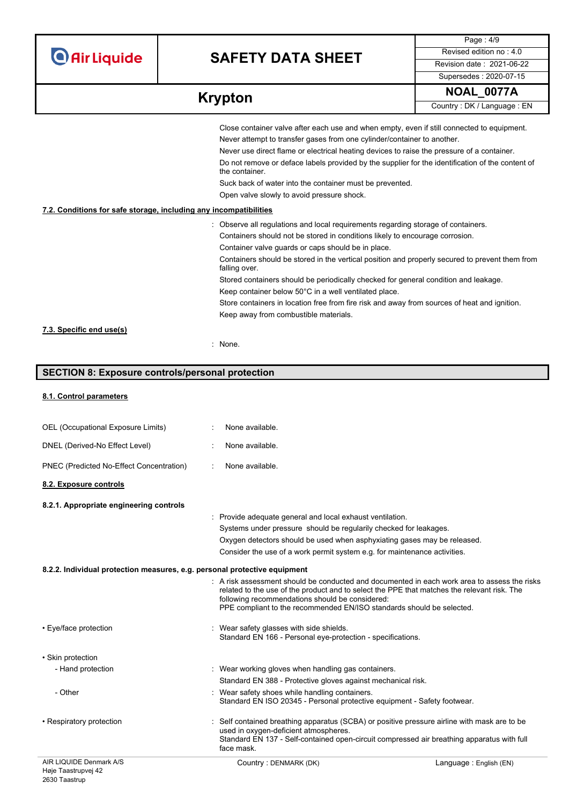**O** Air Liquide

# **SAFETY DATA SHEET** Revised edition no : 4.0

Page : 4/9 Supersedes : 2020-07-15

| <b>Krypton</b> | <b>NOAL 0077A</b>          |
|----------------|----------------------------|
|                | Country: DK / Language: EN |

|                                                                   | Close container valve after each use and when empty, even if still connected to equipment.                        |
|-------------------------------------------------------------------|-------------------------------------------------------------------------------------------------------------------|
|                                                                   | Never attempt to transfer gases from one cylinder/container to another.                                           |
|                                                                   | Never use direct flame or electrical heating devices to raise the pressure of a container.                        |
|                                                                   | Do not remove or deface labels provided by the supplier for the identification of the content of<br>the container |
|                                                                   | Suck back of water into the container must be prevented.                                                          |
|                                                                   | Open valve slowly to avoid pressure shock.                                                                        |
| 7.2. Conditions for safe storage, including any incompatibilities |                                                                                                                   |
|                                                                   | : Observe all regulations and local requirements regarding storage of containers.                                 |
|                                                                   | Containers should not be stored in conditions likely to encourage corrosion.                                      |
|                                                                   | Container valve guards or caps should be in place.                                                                |
|                                                                   | Containers should be stored in the vertical position and properly secured to prevent them from<br>falling over.   |
|                                                                   | Stored containers should be periodically checked for general condition and leakage.                               |
|                                                                   | Keep container below 50°C in a well ventilated place.                                                             |
|                                                                   | Store containers in location free from fire risk and away from sources of heat and ignition.                      |
|                                                                   | Keep away from combustible materials.                                                                             |
| 7.3. Specific end use(s)                                          |                                                                                                                   |
|                                                                   | : None.                                                                                                           |

# **SECTION 8: Exposure controls/personal protection**

## **8.1. Control parameters**

| AIR LIQUIDE Denmark A/S                                                   | Country: DENMARK (DK)                                                                                                                                                                                                                                                                                                              | Language: English (EN) |
|---------------------------------------------------------------------------|------------------------------------------------------------------------------------------------------------------------------------------------------------------------------------------------------------------------------------------------------------------------------------------------------------------------------------|------------------------|
| • Respiratory protection                                                  | Self contained breathing apparatus (SCBA) or positive pressure airline with mask are to be<br>used in oxygen-deficient atmospheres.<br>Standard EN 137 - Self-contained open-circuit compressed air breathing apparatus with full<br>face mask.                                                                                    |                        |
| - Other                                                                   | : Wear safety shoes while handling containers.<br>Standard EN ISO 20345 - Personal protective equipment - Safety footwear.                                                                                                                                                                                                         |                        |
|                                                                           | Standard EN 388 - Protective gloves against mechanical risk.                                                                                                                                                                                                                                                                       |                        |
| - Hand protection                                                         | : Wear working gloves when handling gas containers.                                                                                                                                                                                                                                                                                |                        |
| • Skin protection                                                         |                                                                                                                                                                                                                                                                                                                                    |                        |
| • Eye/face protection                                                     | : Wear safety glasses with side shields.<br>Standard EN 166 - Personal eye-protection - specifications.                                                                                                                                                                                                                            |                        |
|                                                                           | $\therefore$ A risk assessment should be conducted and documented in each work area to assess the risks<br>related to the use of the product and to select the PPE that matches the relevant risk. The<br>following recommendations should be considered:<br>PPE compliant to the recommended EN/ISO standards should be selected. |                        |
| 8.2.2. Individual protection measures, e.g. personal protective equipment |                                                                                                                                                                                                                                                                                                                                    |                        |
|                                                                           | Consider the use of a work permit system e.g. for maintenance activities.                                                                                                                                                                                                                                                          |                        |
|                                                                           | Oxygen detectors should be used when asphyxiating gases may be released.                                                                                                                                                                                                                                                           |                        |
|                                                                           | Systems under pressure should be regularily checked for leakages.                                                                                                                                                                                                                                                                  |                        |
|                                                                           | : Provide adequate general and local exhaust ventilation.                                                                                                                                                                                                                                                                          |                        |
| 8.2.1. Appropriate engineering controls                                   |                                                                                                                                                                                                                                                                                                                                    |                        |
| 8.2. Exposure controls                                                    |                                                                                                                                                                                                                                                                                                                                    |                        |
| PNEC (Predicted No-Effect Concentration)                                  | None available.                                                                                                                                                                                                                                                                                                                    |                        |
| DNEL (Derived-No Effect Level)                                            | None available.                                                                                                                                                                                                                                                                                                                    |                        |
| OEL (Occupational Exposure Limits)                                        | None available.                                                                                                                                                                                                                                                                                                                    |                        |
|                                                                           |                                                                                                                                                                                                                                                                                                                                    |                        |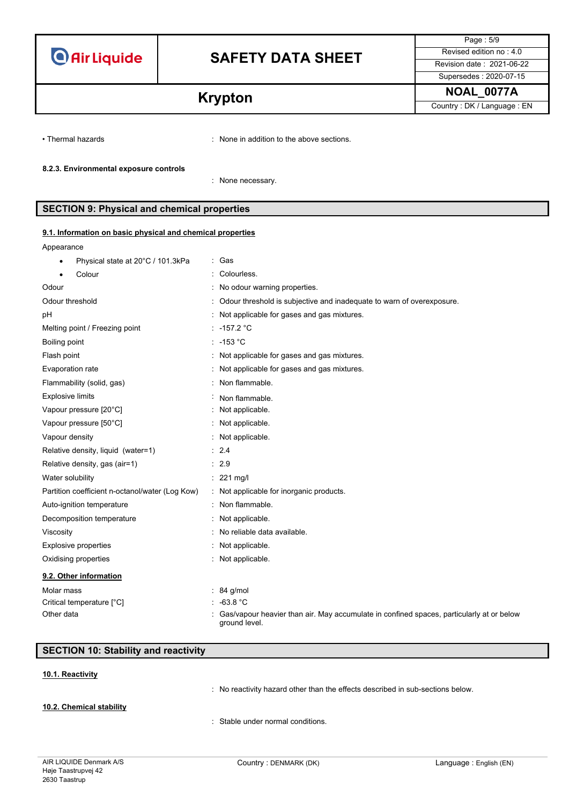

Page : 5/9 Supersedes : 2020-07-15

**Krypton NOAL\_0077A Krypton** Country: DK/Language : EN

• Thermal hazards : None in addition to the above sections.

### **8.2.3. Environmental exposure controls**

: None necessary.

## **SECTION 9: Physical and chemical properties**

### **9.1. Information on basic physical and chemical properties**

Appearance

| Physical state at 20°C / 101.3kPa               | Gas                                                                                                       |
|-------------------------------------------------|-----------------------------------------------------------------------------------------------------------|
| Colour                                          | Colourless.                                                                                               |
| Odour                                           | No odour warning properties.                                                                              |
| Odour threshold                                 | Odour threshold is subjective and inadequate to warn of overexposure.                                     |
| pH                                              | Not applicable for gases and gas mixtures.                                                                |
| Melting point / Freezing point                  | -157.2 °C                                                                                                 |
| Boiling point                                   | $: -153 °C$                                                                                               |
| Flash point                                     | Not applicable for gases and gas mixtures.                                                                |
| Evaporation rate                                | Not applicable for gases and gas mixtures.                                                                |
| Flammability (solid, gas)                       | Non flammable.                                                                                            |
| <b>Explosive limits</b>                         | Non flammable.                                                                                            |
| Vapour pressure [20°C]                          | Not applicable.                                                                                           |
| Vapour pressure [50°C]                          | Not applicable.                                                                                           |
| Vapour density                                  | : Not applicable.                                                                                         |
| Relative density, liquid (water=1)              | : 2.4                                                                                                     |
| Relative density, gas (air=1)                   | 2.9                                                                                                       |
| Water solubility                                | $: 221$ mg/l                                                                                              |
| Partition coefficient n-octanol/water (Log Kow) | Not applicable for inorganic products.                                                                    |
| Auto-ignition temperature                       | Non flammable.                                                                                            |
| Decomposition temperature                       | Not applicable.                                                                                           |
| Viscosity                                       | No reliable data available.                                                                               |
| Explosive properties                            | Not applicable.                                                                                           |
| Oxidising properties                            | Not applicable.                                                                                           |
| 9.2. Other information                          |                                                                                                           |
| Molar mass                                      | $: 84$ g/mol                                                                                              |
| Critical temperature [°C]                       | $-63.8 °C$                                                                                                |
| Other data                                      | Gas/vapour heavier than air. May accumulate in confined spaces, particularly at or below<br>ground level. |

# **SECTION 10: Stability and reactivity**

## **10.1. Reactivity**

: No reactivity hazard other than the effects described in sub-sections below.

## **10.2. Chemical stability**

: Stable under normal conditions.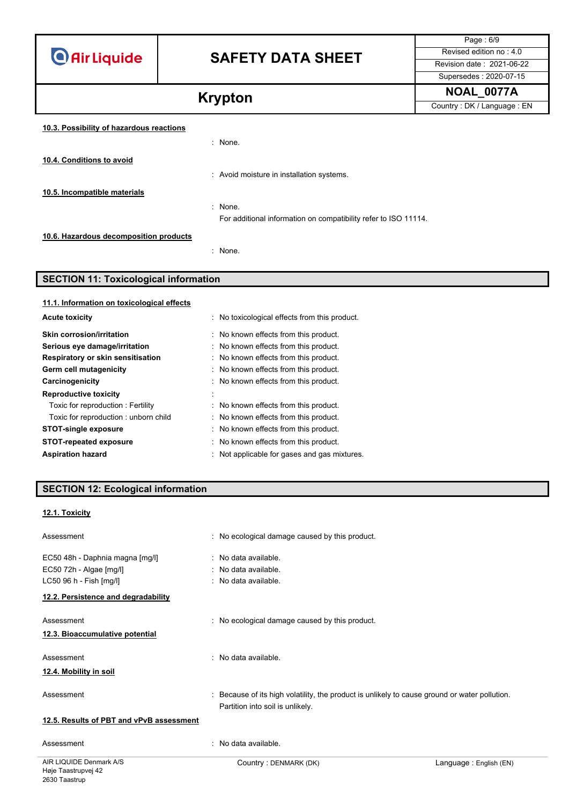**O** Air Liquide

# **SAFETY DATA SHEET** Revised edition no : 4.0

Page : 6/9 Supersedes : 2020-07-15

**Krypton NOAL\_0077A Country**: DK/Language : EN

## **10.3. Possibility of hazardous reactions**

|                                        | : None.                                                         |
|----------------------------------------|-----------------------------------------------------------------|
| 10.4. Conditions to avoid              |                                                                 |
|                                        | : Avoid moisture in installation systems.                       |
| 10.5. Incompatible materials           |                                                                 |
|                                        | $\therefore$ None.                                              |
|                                        | For additional information on compatibility refer to ISO 11114. |
| 10.6. Hazardous decomposition products |                                                                 |
|                                        | : None.                                                         |

# **SECTION 11: Toxicological information**

| 11.1. Information on toxicological effects |                                               |
|--------------------------------------------|-----------------------------------------------|
| <b>Acute toxicity</b>                      | : No toxicological effects from this product. |
| Skin corrosion/irritation                  | No known effects from this product.           |
| Serious eye damage/irritation              | : No known effects from this product.         |
| Respiratory or skin sensitisation          | : No known effects from this product.         |
| Germ cell mutagenicity                     | : No known effects from this product.         |
| Carcinogenicity                            | : No known effects from this product.         |
| <b>Reproductive toxicity</b>               | ٠                                             |
| Toxic for reproduction: Fertility          | No known effects from this product.           |
| Toxic for reproduction: unborn child       | : No known effects from this product.         |
| <b>STOT-single exposure</b>                | No known effects from this product.           |
| <b>STOT-repeated exposure</b>              | No known effects from this product.           |
| <b>Aspiration hazard</b>                   | : Not applicable for gases and gas mixtures.  |

# **SECTION 12: Ecological information**

## **12.1. Toxicity**

| Assessment                                                                            | : No ecological damage caused by this product.                                                                                    |
|---------------------------------------------------------------------------------------|-----------------------------------------------------------------------------------------------------------------------------------|
| EC50 48h - Daphnia magna [mg/l]<br>EC50 72h - Algae [mg/l]<br>LC50 96 h - Fish [mg/l] | : No data available.<br>: No data available.<br>: No data available.                                                              |
| 12.2. Persistence and degradability                                                   |                                                                                                                                   |
| Assessment<br>12.3. Bioaccumulative potential                                         | : No ecological damage caused by this product.                                                                                    |
| Assessment<br>12.4. Mobility in soil                                                  | : No data available.                                                                                                              |
| Assessment                                                                            | : Because of its high volatility, the product is unlikely to cause ground or water pollution.<br>Partition into soil is unlikely. |
| 12.5. Results of PBT and vPvB assessment                                              |                                                                                                                                   |
| Assessment                                                                            | : No data available.                                                                                                              |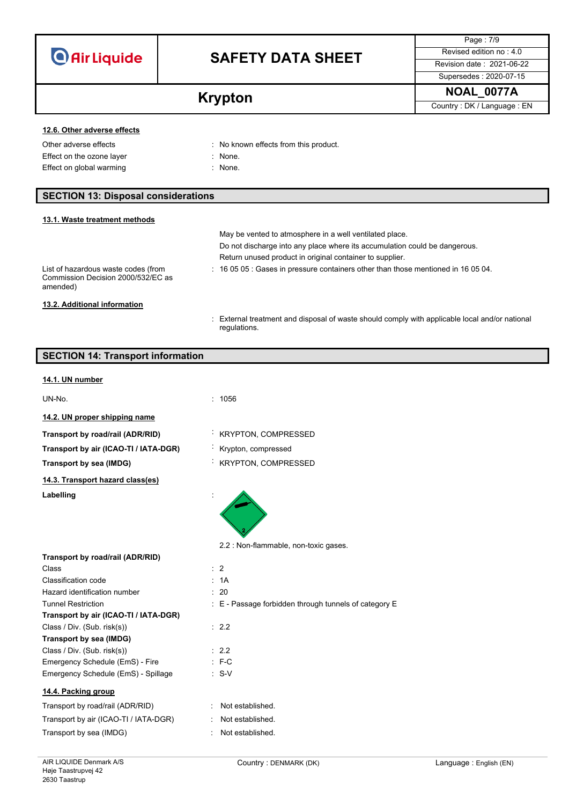| <b>O</b> Air Liquide |  |  |
|----------------------|--|--|
|                      |  |  |

Page : 7/9 Supersedes : 2020-07-15

**Krypton NOAL\_0077A Krypton** Country: DK/Language : EN

## **12.6. Other adverse effects**

Effect on the ozone layer **in the set of the set of the set of the set of the set of the set of the set of the set of the set of the set of the set of the set of the set of the set of the set of the set of the set of the s** Effect on global warming **in the same of the set of the Sefan Street** in None.

Other adverse effects **in the contract of the CO** in No known effects from this product.

- 
- 

## **SECTION 13: Disposal considerations**

| 13.1. Waste treatment methods                                                         |                                                                                                                |
|---------------------------------------------------------------------------------------|----------------------------------------------------------------------------------------------------------------|
|                                                                                       | May be vented to atmosphere in a well ventilated place.                                                        |
|                                                                                       | Do not discharge into any place where its accumulation could be dangerous.                                     |
|                                                                                       | Return unused product in original container to supplier.                                                       |
| List of hazardous waste codes (from<br>Commission Decision 2000/532/EC as<br>amended) | $\div$ 16 05 05 : Gases in pressure containers other than those mentioned in 16 05 04.                         |
| 13.2. Additional information                                                          |                                                                                                                |
|                                                                                       | : External treatment and disposal of waste should comply with applicable local and/or national<br>regulations. |

# **SECTION 14: Transport information**

### **14.1. UN number**

UN-No. : 1056

- **14.2. UN proper shipping name**
- **Transport by road/rail (ADR/RID)** : KRYPTON, COMPRESSED
- **Transport by air (ICAO-TI / IATA-DGR)** : Krypton, compressed
- **Transport by sea (IMDG)** : KRYPTON, COMPRESSED

**14.3. Transport hazard class(es)** Labelling

2.2 : Non-flammable, non-toxic gases.

| Transport by road/rail (ADR/RID)      |                                                           |
|---------------------------------------|-----------------------------------------------------------|
| Class                                 | $\therefore$ 2                                            |
| Classification code                   | : 1A                                                      |
| Hazard identification number          | : 20                                                      |
| <b>Tunnel Restriction</b>             | $\pm$ E - Passage forbidden through tunnels of category E |
| Transport by air (ICAO-TI / IATA-DGR) |                                                           |
| Class / Div. (Sub. risk(s))           | : 2.2                                                     |
| Transport by sea (IMDG)               |                                                           |
| Class / Div. (Sub. risk(s))           | : 2.2                                                     |
| Emergency Schedule (EmS) - Fire       | $E - C$                                                   |
| Emergency Schedule (EmS) - Spillage   | $: S-V$                                                   |
| 14.4. Packing group                   |                                                           |
| Transport by road/rail (ADR/RID)      | Not established.                                          |
| Transport by air (ICAO-TI / IATA-DGR) | Not established.                                          |
| Transport by sea (IMDG)               | Not established.                                          |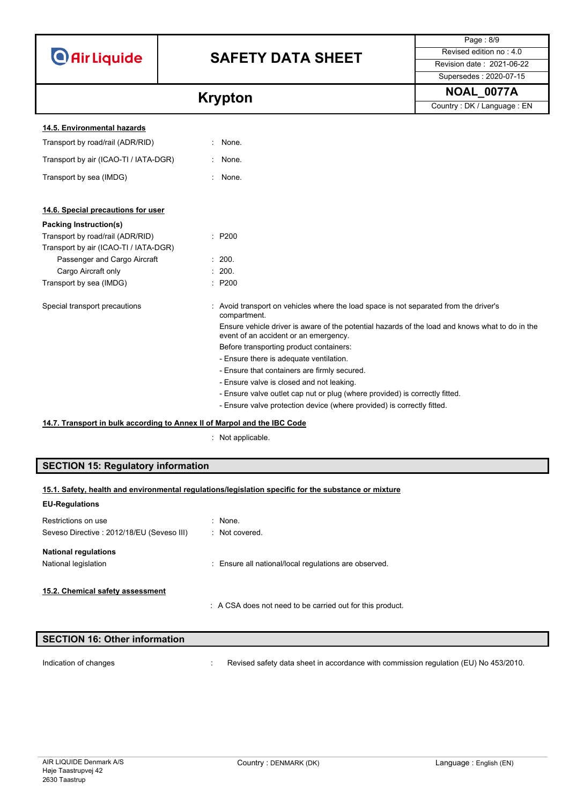|                                       |                                                                                                                                          | Page: 8/9                  |
|---------------------------------------|------------------------------------------------------------------------------------------------------------------------------------------|----------------------------|
| <b>O</b> Air Liquide                  | <b>SAFETY DATA SHEET</b>                                                                                                                 | Revised edition no: 4.0    |
|                                       |                                                                                                                                          | Revision date: 2021-06-22  |
|                                       |                                                                                                                                          | Supersedes: 2020-07-15     |
|                                       | <b>Krypton</b>                                                                                                                           | <b>NOAL 0077A</b>          |
|                                       |                                                                                                                                          | Country: DK / Language: EN |
| 14.5. Environmental hazards           |                                                                                                                                          |                            |
| Transport by road/rail (ADR/RID)      | None.                                                                                                                                    |                            |
| Transport by air (ICAO-TI / IATA-DGR) | : None.                                                                                                                                  |                            |
| Transport by sea (IMDG)               | None.                                                                                                                                    |                            |
| 14.6. Special precautions for user    |                                                                                                                                          |                            |
| <b>Packing Instruction(s)</b>         |                                                                                                                                          |                            |
| Transport by road/rail (ADR/RID)      | : P200                                                                                                                                   |                            |
| Transport by air (ICAO-TI / IATA-DGR) |                                                                                                                                          |                            |
| Passenger and Cargo Aircraft          | : 200.                                                                                                                                   |                            |
| Cargo Aircraft only                   | : 200.                                                                                                                                   |                            |
| Transport by sea (IMDG)               | : P200                                                                                                                                   |                            |
| Special transport precautions         | Avoid transport on vehicles where the load space is not separated from the driver's<br>compartment.                                      |                            |
|                                       | Ensure vehicle driver is aware of the potential hazards of the load and knows what to do in the<br>event of an accident or an emergency. |                            |
|                                       | Before transporting product containers:                                                                                                  |                            |
|                                       | - Ensure there is adequate ventilation.                                                                                                  |                            |
|                                       | - Ensure that containers are firmly secured.                                                                                             |                            |
|                                       | - Ensure valve is closed and not leaking.                                                                                                |                            |
|                                       | - Ensure valve outlet cap nut or plug (where provided) is correctly fitted.                                                              |                            |
|                                       | - Ensure valve protection device (where provided) is correctly fitted.                                                                   |                            |

# **14.7. Transport in bulk according to Annex II of Marpol and the IBC Code**

: Not applicable.

# **SECTION 15: Regulatory information**

| 15.1. Safety, health and environmental regulations/legislation specific for the substance or mixture |  |
|------------------------------------------------------------------------------------------------------|--|
| <b>EU-Regulations</b>                                                                                |  |

| Restrictions on use<br>Seveso Directive: 2012/18/EU (Seveso III) | $:$ None.<br>: Not covered.                             |
|------------------------------------------------------------------|---------------------------------------------------------|
| <b>National regulations</b><br>National legislation              | : Ensure all national/local regulations are observed.   |
| 15.2. Chemical safety assessment                                 | A CSA does not need to be carried out for this product. |

| <b>SECTION 16: Other information</b> |  |
|--------------------------------------|--|
|                                      |  |

Indication of changes **incomponent of the CO** is revised safety data sheet in accordance with commission regulation (EU) No 453/2010.